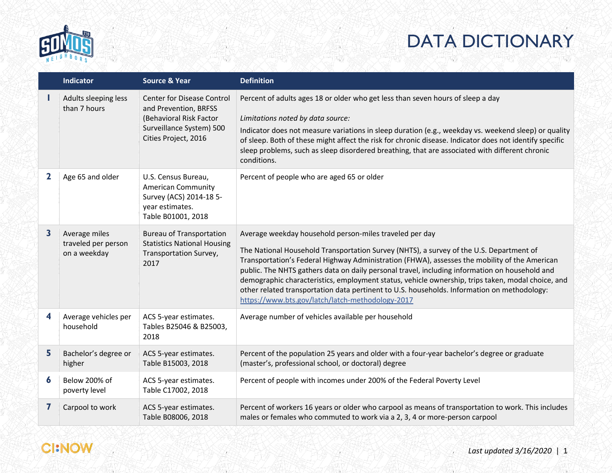

|             | <b>Indicator</b>                                     | <b>Source &amp; Year</b>                                                                                                                  | <b>Definition</b>                                                                                                                                                                                                                                                                                                                                                                                                                                                                                                                                                                                             |
|-------------|------------------------------------------------------|-------------------------------------------------------------------------------------------------------------------------------------------|---------------------------------------------------------------------------------------------------------------------------------------------------------------------------------------------------------------------------------------------------------------------------------------------------------------------------------------------------------------------------------------------------------------------------------------------------------------------------------------------------------------------------------------------------------------------------------------------------------------|
|             | Adults sleeping less<br>than 7 hours                 | <b>Center for Disease Control</b><br>and Prevention, BRFSS<br>(Behavioral Risk Factor<br>Surveillance System) 500<br>Cities Project, 2016 | Percent of adults ages 18 or older who get less than seven hours of sleep a day<br>Limitations noted by data source:<br>Indicator does not measure variations in sleep duration (e.g., weekday vs. weekend sleep) or quality<br>of sleep. Both of these might affect the risk for chronic disease. Indicator does not identify specific<br>sleep problems, such as sleep disordered breathing, that are associated with different chronic<br>conditions.                                                                                                                                                      |
| $\mathbf 2$ | Age 65 and older                                     | U.S. Census Bureau,<br><b>American Community</b><br>Survey (ACS) 2014-18 5-<br>year estimates.<br>Table B01001, 2018                      | Percent of people who are aged 65 or older                                                                                                                                                                                                                                                                                                                                                                                                                                                                                                                                                                    |
| 3           | Average miles<br>traveled per person<br>on a weekday | <b>Bureau of Transportation</b><br><b>Statistics National Housing</b><br>Transportation Survey,<br>2017                                   | Average weekday household person-miles traveled per day<br>The National Household Transportation Survey (NHTS), a survey of the U.S. Department of<br>Transportation's Federal Highway Administration (FHWA), assesses the mobility of the American<br>public. The NHTS gathers data on daily personal travel, including information on household and<br>demographic characteristics, employment status, vehicle ownership, trips taken, modal choice, and<br>other related transportation data pertinent to U.S. households. Information on methodology:<br>https://www.bts.gov/latch/latch-methodology-2017 |
| 4           | Average vehicles per<br>household                    | ACS 5-year estimates.<br>Tables B25046 & B25003,<br>2018                                                                                  | Average number of vehicles available per household                                                                                                                                                                                                                                                                                                                                                                                                                                                                                                                                                            |
| 5           | Bachelor's degree or<br>higher                       | ACS 5-year estimates.<br>Table B15003, 2018                                                                                               | Percent of the population 25 years and older with a four-year bachelor's degree or graduate<br>(master's, professional school, or doctoral) degree                                                                                                                                                                                                                                                                                                                                                                                                                                                            |
| 6           | Below 200% of<br>poverty level                       | ACS 5-year estimates.<br>Table C17002, 2018                                                                                               | Percent of people with incomes under 200% of the Federal Poverty Level                                                                                                                                                                                                                                                                                                                                                                                                                                                                                                                                        |
| 7           | Carpool to work                                      | ACS 5-year estimates.<br>Table B08006, 2018                                                                                               | Percent of workers 16 years or older who carpool as means of transportation to work. This includes<br>males or females who commuted to work via a 2, 3, 4 or more-person carpool                                                                                                                                                                                                                                                                                                                                                                                                                              |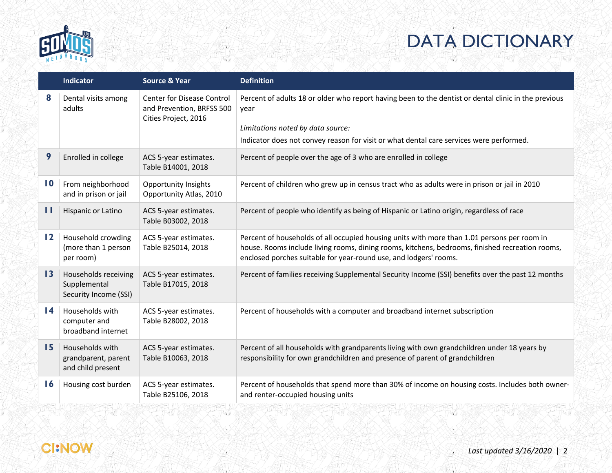

|                 | <b>Indicator</b>                                              | <b>Source &amp; Year</b>                                                        | <b>Definition</b>                                                                                                                                                                                                                                                   |
|-----------------|---------------------------------------------------------------|---------------------------------------------------------------------------------|---------------------------------------------------------------------------------------------------------------------------------------------------------------------------------------------------------------------------------------------------------------------|
| 8               | Dental visits among<br>adults                                 | Center for Disease Control<br>and Prevention, BRFSS 500<br>Cities Project, 2016 | Percent of adults 18 or older who report having been to the dentist or dental clinic in the previous<br>vear                                                                                                                                                        |
|                 |                                                               |                                                                                 | Limitations noted by data source:<br>Indicator does not convey reason for visit or what dental care services were performed.                                                                                                                                        |
| 9               | Enrolled in college                                           | ACS 5-year estimates.<br>Table B14001, 2018                                     | Percent of people over the age of 3 who are enrolled in college                                                                                                                                                                                                     |
| $\mathbf{I}$    | From neighborhood<br>and in prison or jail                    | Opportunity Insights<br>Opportunity Atlas, 2010                                 | Percent of children who grew up in census tract who as adults were in prison or jail in 2010                                                                                                                                                                        |
| П               | Hispanic or Latino                                            | ACS 5-year estimates.<br>Table B03002, 2018                                     | Percent of people who identify as being of Hispanic or Latino origin, regardless of race                                                                                                                                                                            |
| $\overline{12}$ | Household crowding<br>(more than 1 person<br>per room)        | ACS 5-year estimates.<br>Table B25014, 2018                                     | Percent of households of all occupied housing units with more than 1.01 persons per room in<br>house. Rooms include living rooms, dining rooms, kitchens, bedrooms, finished recreation rooms,<br>enclosed porches suitable for year-round use, and lodgers' rooms. |
| 13              | Households receiving<br>Supplemental<br>Security Income (SSI) | ACS 5-year estimates.<br>Table B17015, 2018                                     | Percent of families receiving Supplemental Security Income (SSI) benefits over the past 12 months                                                                                                                                                                   |
| $\overline{14}$ | Households with<br>computer and<br>broadband internet         | ACS 5-year estimates.<br>Table B28002, 2018                                     | Percent of households with a computer and broadband internet subscription                                                                                                                                                                                           |
| 15              | Households with<br>grandparent, parent<br>and child present   | ACS 5-year estimates.<br>Table B10063, 2018                                     | Percent of all households with grandparents living with own grandchildren under 18 years by<br>responsibility for own grandchildren and presence of parent of grandchildren                                                                                         |
| $\overline{16}$ | Housing cost burden                                           | ACS 5-year estimates.<br>Table B25106, 2018                                     | Percent of households that spend more than 30% of income on housing costs. Includes both owner-<br>and renter-occupied housing units                                                                                                                                |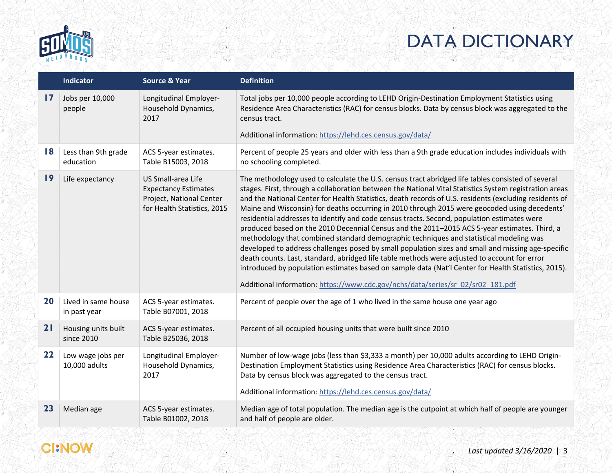

|               | Indicator                           | <b>Source &amp; Year</b>                                                                                     | <b>Definition</b>                                                                                                                                                                                                                                                                                                                                                                                                                                                                                                                                                                                                                                                                                                                                                                                                                                                                                                                                                                                                                                                                                               |
|---------------|-------------------------------------|--------------------------------------------------------------------------------------------------------------|-----------------------------------------------------------------------------------------------------------------------------------------------------------------------------------------------------------------------------------------------------------------------------------------------------------------------------------------------------------------------------------------------------------------------------------------------------------------------------------------------------------------------------------------------------------------------------------------------------------------------------------------------------------------------------------------------------------------------------------------------------------------------------------------------------------------------------------------------------------------------------------------------------------------------------------------------------------------------------------------------------------------------------------------------------------------------------------------------------------------|
| $\mathbf{17}$ | Jobs per 10,000<br>people           | Longitudinal Employer-<br>Household Dynamics,<br>2017                                                        | Total jobs per 10,000 people according to LEHD Origin-Destination Employment Statistics using<br>Residence Area Characteristics (RAC) for census blocks. Data by census block was aggregated to the<br>census tract.                                                                                                                                                                                                                                                                                                                                                                                                                                                                                                                                                                                                                                                                                                                                                                                                                                                                                            |
|               |                                     |                                                                                                              | Additional information: https://lehd.ces.census.gov/data/                                                                                                                                                                                                                                                                                                                                                                                                                                                                                                                                                                                                                                                                                                                                                                                                                                                                                                                                                                                                                                                       |
| 18            | Less than 9th grade<br>education    | ACS 5-year estimates.<br>Table B15003, 2018                                                                  | Percent of people 25 years and older with less than a 9th grade education includes individuals with<br>no schooling completed.                                                                                                                                                                                                                                                                                                                                                                                                                                                                                                                                                                                                                                                                                                                                                                                                                                                                                                                                                                                  |
| 19            | Life expectancy                     | US Small-area Life<br><b>Expectancy Estimates</b><br>Project, National Center<br>for Health Statistics, 2015 | The methodology used to calculate the U.S. census tract abridged life tables consisted of several<br>stages. First, through a collaboration between the National Vital Statistics System registration areas<br>and the National Center for Health Statistics, death records of U.S. residents (excluding residents of<br>Maine and Wisconsin) for deaths occurring in 2010 through 2015 were geocoded using decedents'<br>residential addresses to identify and code census tracts. Second, population estimates were<br>produced based on the 2010 Decennial Census and the 2011-2015 ACS 5-year estimates. Third, a<br>methodology that combined standard demographic techniques and statistical modeling was<br>developed to address challenges posed by small population sizes and small and missing age-specific<br>death counts. Last, standard, abridged life table methods were adjusted to account for error<br>introduced by population estimates based on sample data (Nat'l Center for Health Statistics, 2015).<br>Additional information: https://www.cdc.gov/nchs/data/series/sr 02/sr02_181.pdf |
| 20            | Lived in same house<br>in past year | ACS 5-year estimates.<br>Table B07001, 2018                                                                  | Percent of people over the age of 1 who lived in the same house one year ago                                                                                                                                                                                                                                                                                                                                                                                                                                                                                                                                                                                                                                                                                                                                                                                                                                                                                                                                                                                                                                    |
| 21            | Housing units built<br>since 2010   | ACS 5-year estimates.<br>Table B25036, 2018                                                                  | Percent of all occupied housing units that were built since 2010                                                                                                                                                                                                                                                                                                                                                                                                                                                                                                                                                                                                                                                                                                                                                                                                                                                                                                                                                                                                                                                |
| 22            | Low wage jobs per<br>10,000 adults  | Longitudinal Employer-<br>Household Dynamics,<br>2017                                                        | Number of low-wage jobs (less than \$3,333 a month) per 10,000 adults according to LEHD Origin-<br>Destination Employment Statistics using Residence Area Characteristics (RAC) for census blocks.<br>Data by census block was aggregated to the census tract.<br>Additional information: https://lehd.ces.census.gov/data/                                                                                                                                                                                                                                                                                                                                                                                                                                                                                                                                                                                                                                                                                                                                                                                     |
| 23            | Median age                          | ACS 5-year estimates.<br>Table B01002, 2018                                                                  | Median age of total population. The median age is the cutpoint at which half of people are younger<br>and half of people are older.                                                                                                                                                                                                                                                                                                                                                                                                                                                                                                                                                                                                                                                                                                                                                                                                                                                                                                                                                                             |

#### **CI:NOW**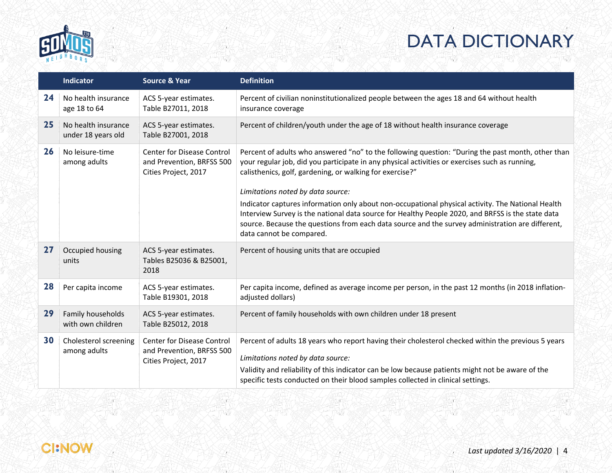

|    | Indicator                                 | <b>Source &amp; Year</b>                                                               | <b>Definition</b>                                                                                                                                                                                                                                                                                                                                                                                                                                                                                                                                                                                                                              |
|----|-------------------------------------------|----------------------------------------------------------------------------------------|------------------------------------------------------------------------------------------------------------------------------------------------------------------------------------------------------------------------------------------------------------------------------------------------------------------------------------------------------------------------------------------------------------------------------------------------------------------------------------------------------------------------------------------------------------------------------------------------------------------------------------------------|
| 24 | No health insurance<br>age 18 to 64       | ACS 5-year estimates.<br>Table B27011, 2018                                            | Percent of civilian noninstitutionalized people between the ages 18 and 64 without health<br>insurance coverage                                                                                                                                                                                                                                                                                                                                                                                                                                                                                                                                |
| 25 | No health insurance<br>under 18 years old | ACS 5-year estimates.<br>Table B27001, 2018                                            | Percent of children/youth under the age of 18 without health insurance coverage                                                                                                                                                                                                                                                                                                                                                                                                                                                                                                                                                                |
| 26 | No leisure-time<br>among adults           | <b>Center for Disease Control</b><br>and Prevention, BRFSS 500<br>Cities Project, 2017 | Percent of adults who answered "no" to the following question: "During the past month, other than<br>your regular job, did you participate in any physical activities or exercises such as running,<br>calisthenics, golf, gardening, or walking for exercise?"<br>Limitations noted by data source:<br>Indicator captures information only about non-occupational physical activity. The National Health<br>Interview Survey is the national data source for Healthy People 2020, and BRFSS is the state data<br>source. Because the questions from each data source and the survey administration are different,<br>data cannot be compared. |
| 27 | Occupied housing<br>units                 | ACS 5-year estimates.<br>Tables B25036 & B25001,<br>2018                               | Percent of housing units that are occupied                                                                                                                                                                                                                                                                                                                                                                                                                                                                                                                                                                                                     |
| 28 | Per capita income                         | ACS 5-year estimates.<br>Table B19301, 2018                                            | Per capita income, defined as average income per person, in the past 12 months (in 2018 inflation-<br>adjusted dollars)                                                                                                                                                                                                                                                                                                                                                                                                                                                                                                                        |
| 29 | Family households<br>with own children    | ACS 5-year estimates.<br>Table B25012, 2018                                            | Percent of family households with own children under 18 present                                                                                                                                                                                                                                                                                                                                                                                                                                                                                                                                                                                |
| 30 | Cholesterol screening<br>among adults     | <b>Center for Disease Control</b><br>and Prevention, BRFSS 500<br>Cities Project, 2017 | Percent of adults 18 years who report having their cholesterol checked within the previous 5 years<br>Limitations noted by data source:<br>Validity and reliability of this indicator can be low because patients might not be aware of the<br>specific tests conducted on their blood samples collected in clinical settings.                                                                                                                                                                                                                                                                                                                 |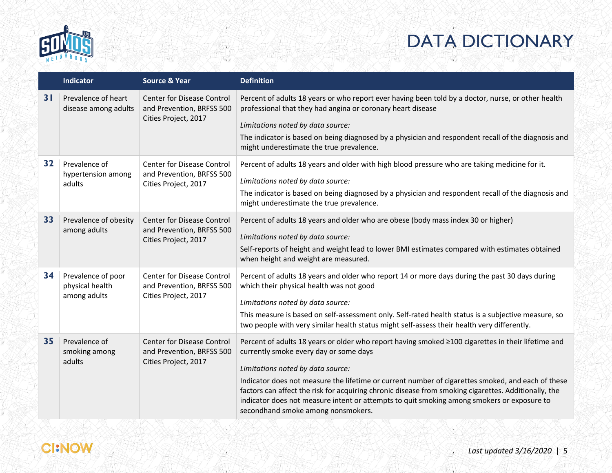

|    | <b>Indicator</b>                                      | <b>Source &amp; Year</b>                                                               | <b>Definition</b>                                                                                                                                                                                                                                                                                                                                                                                                                                                                                                                  |
|----|-------------------------------------------------------|----------------------------------------------------------------------------------------|------------------------------------------------------------------------------------------------------------------------------------------------------------------------------------------------------------------------------------------------------------------------------------------------------------------------------------------------------------------------------------------------------------------------------------------------------------------------------------------------------------------------------------|
| 31 | Prevalence of heart<br>disease among adults           | Center for Disease Control<br>and Prevention, BRFSS 500<br>Cities Project, 2017        | Percent of adults 18 years or who report ever having been told by a doctor, nurse, or other health<br>professional that they had angina or coronary heart disease<br>Limitations noted by data source:<br>The indicator is based on being diagnosed by a physician and respondent recall of the diagnosis and<br>might underestimate the true prevalence.                                                                                                                                                                          |
| 32 | Prevalence of<br>hypertension among<br>adults         | <b>Center for Disease Control</b><br>and Prevention, BRFSS 500<br>Cities Project, 2017 | Percent of adults 18 years and older with high blood pressure who are taking medicine for it.<br>Limitations noted by data source:<br>The indicator is based on being diagnosed by a physician and respondent recall of the diagnosis and<br>might underestimate the true prevalence.                                                                                                                                                                                                                                              |
| 33 | Prevalence of obesity<br>among adults                 | <b>Center for Disease Control</b><br>and Prevention, BRFSS 500<br>Cities Project, 2017 | Percent of adults 18 years and older who are obese (body mass index 30 or higher)<br>Limitations noted by data source:<br>Self-reports of height and weight lead to lower BMI estimates compared with estimates obtained<br>when height and weight are measured.                                                                                                                                                                                                                                                                   |
| 34 | Prevalence of poor<br>physical health<br>among adults | Center for Disease Control<br>and Prevention, BRFSS 500<br>Cities Project, 2017        | Percent of adults 18 years and older who report 14 or more days during the past 30 days during<br>which their physical health was not good<br>Limitations noted by data source:<br>This measure is based on self-assessment only. Self-rated health status is a subjective measure, so<br>two people with very similar health status might self-assess their health very differently.                                                                                                                                              |
| 35 | Prevalence of<br>smoking among<br>adults              | <b>Center for Disease Control</b><br>and Prevention, BRFSS 500<br>Cities Project, 2017 | Percent of adults 18 years or older who report having smoked ≥100 cigarettes in their lifetime and<br>currently smoke every day or some days<br>Limitations noted by data source:<br>Indicator does not measure the lifetime or current number of cigarettes smoked, and each of these<br>factors can affect the risk for acquiring chronic disease from smoking cigarettes. Additionally, the<br>indicator does not measure intent or attempts to quit smoking among smokers or exposure to<br>secondhand smoke among nonsmokers. |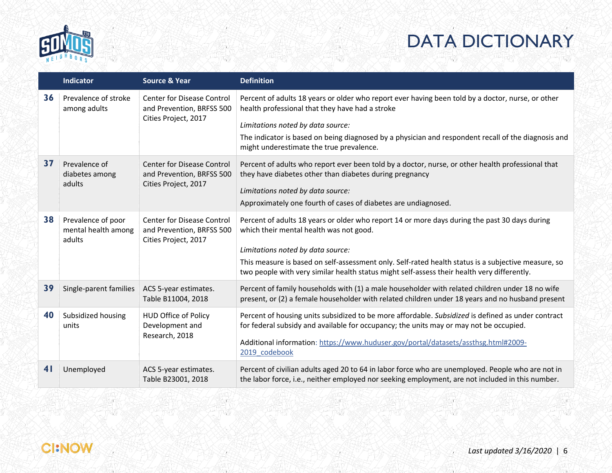

|                | <b>Indicator</b>                                    | <b>Source &amp; Year</b>                                                               | <b>Definition</b>                                                                                                                                                                                     |
|----------------|-----------------------------------------------------|----------------------------------------------------------------------------------------|-------------------------------------------------------------------------------------------------------------------------------------------------------------------------------------------------------|
| 36             | Prevalence of stroke<br>among adults                | Center for Disease Control<br>and Prevention, BRFSS 500                                | Percent of adults 18 years or older who report ever having been told by a doctor, nurse, or other<br>health professional that they have had a stroke                                                  |
|                |                                                     | Cities Project, 2017                                                                   | Limitations noted by data source:                                                                                                                                                                     |
|                |                                                     |                                                                                        | The indicator is based on being diagnosed by a physician and respondent recall of the diagnosis and<br>might underestimate the true prevalence.                                                       |
| 37             | Prevalence of<br>diabetes among<br>adults           | <b>Center for Disease Control</b><br>and Prevention, BRFSS 500<br>Cities Project, 2017 | Percent of adults who report ever been told by a doctor, nurse, or other health professional that<br>they have diabetes other than diabetes during pregnancy<br>Limitations noted by data source:     |
|                |                                                     | Approximately one fourth of cases of diabetes are undiagnosed.                         |                                                                                                                                                                                                       |
| 38             | Prevalence of poor<br>mental health among<br>adults | <b>Center for Disease Control</b><br>and Prevention, BRFSS 500<br>Cities Project, 2017 | Percent of adults 18 years or older who report 14 or more days during the past 30 days during<br>which their mental health was not good.                                                              |
|                |                                                     |                                                                                        | Limitations noted by data source:                                                                                                                                                                     |
|                |                                                     |                                                                                        | This measure is based on self-assessment only. Self-rated health status is a subjective measure, so<br>two people with very similar health status might self-assess their health very differently.    |
| 39             | Single-parent families                              | ACS 5-year estimates.<br>Table B11004, 2018                                            | Percent of family households with (1) a male householder with related children under 18 no wife<br>present, or (2) a female householder with related children under 18 years and no husband present   |
| 40             | Subsidized housing<br>units                         | <b>HUD Office of Policy</b><br>Development and                                         | Percent of housing units subsidized to be more affordable. Subsidized is defined as under contract<br>for federal subsidy and available for occupancy; the units may or may not be occupied.          |
|                |                                                     | Research, 2018                                                                         | Additional information: https://www.huduser.gov/portal/datasets/assthsg.html#2009-<br>2019 codebook                                                                                                   |
| 4 <sub>l</sub> | Unemployed                                          | ACS 5-year estimates.<br>Table B23001, 2018                                            | Percent of civilian adults aged 20 to 64 in labor force who are unemployed. People who are not in<br>the labor force, i.e., neither employed nor seeking employment, are not included in this number. |